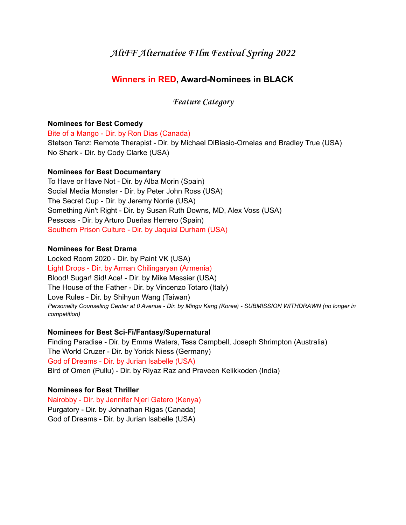# **AltFF Alternative FIlm Festival Spring 2022**

# **Winners in RED, Award-Nominees in BLACK**

**Feature Category**

# **Nominees for Best Comedy**

Bite of a Mango - Dir. by Ron Dias (Canada) Stetson Tenz: Remote Therapist - Dir. by Michael DiBiasio-Ornelas and Bradley True (USA) No Shark - Dir. by Cody Clarke (USA)

#### **Nominees for Best Documentary**

To Have or Have Not - Dir. by Alba Morin (Spain) Social Media Monster - Dir. by Peter John Ross (USA) The Secret Cup - Dir. by Jeremy Norrie (USA) Something Ain't Right - Dir. by Susan Ruth Downs, MD, Alex Voss (USA) Pessoas - Dir. by Arturo Dueñas Herrero (Spain) Southern Prison Culture - Dir. by Jaquial Durham (USA)

### **Nominees for Best Drama**

Locked Room 2020 - Dir. by Paint VK (USA) Light Drops - Dir. by Arman Chilingaryan (Armenia) Blood! Sugar! Sid! Ace! - Dir. by Mike Messier (USA) The House of the Father - Dir. by Vincenzo Totaro (Italy) Love Rules - Dir. by Shihyun Wang (Taiwan) *Personality Counseling Center at 0 Avenue - Dir. by Mingu Kang (Korea) - SUBMISSION WITHDRAWN (no longer in competition)*

#### **Nominees for Best Sci-Fi/Fantasy/Supernatural**

Finding Paradise - Dir. by Emma Waters, Tess Campbell, Joseph Shrimpton (Australia) The World Cruzer - Dir. by Yorick Niess (Germany) God of Dreams - Dir. by Jurian Isabelle (USA) Bird of Omen (Pullu) - Dir. by Riyaz Raz and Praveen Kelikkoden (India)

# **Nominees for Best Thriller**

Nairobby - Dir. by Jennifer Njeri Gatero (Kenya) Purgatory - Dir. by Johnathan Rigas (Canada) God of Dreams - Dir. by Jurian Isabelle (USA)